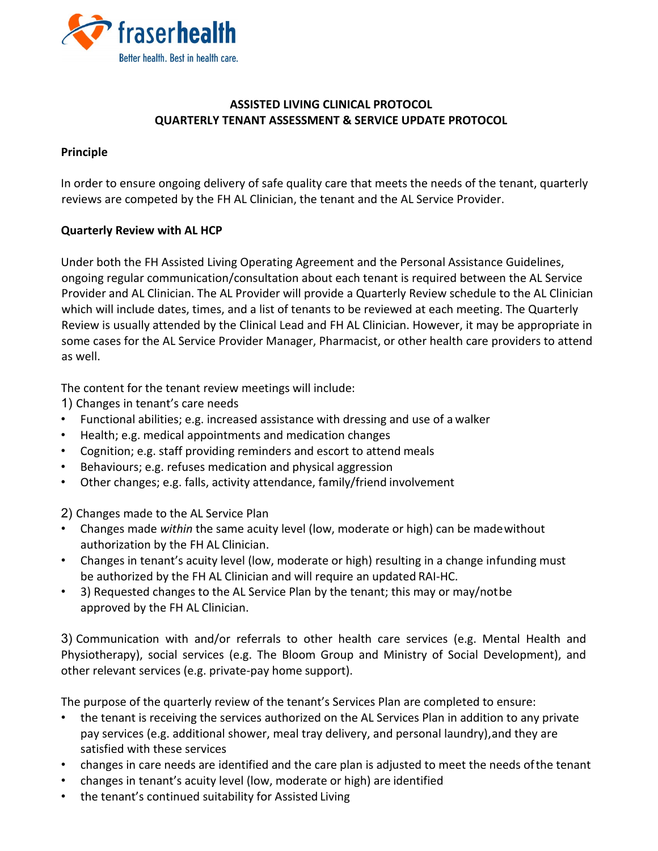

## **ASSISTED LIVING CLINICAL PROTOCOL QUARTERLY TENANT ASSESSMENT & SERVICE UPDATE PROTOCOL**

## **Principle**

In order to ensure ongoing delivery of safe quality care that meets the needs of the tenant, quarterly reviews are competed by the FH AL Clinician, the tenant and the AL Service Provider.

## **Quarterly Review with AL HCP**

Under both the FH Assisted Living Operating Agreement and the Personal Assistance Guidelines, ongoing regular communication/consultation about each tenant is required between the AL Service Provider and AL Clinician. The AL Provider will provide a Quarterly Review schedule to the AL Clinician which will include dates, times, and a list of tenants to be reviewed at each meeting. The Quarterly Review is usually attended by the Clinical Lead and FH AL Clinician. However, it may be appropriate in some cases for the AL Service Provider Manager, Pharmacist, or other health care providers to attend as well.

The content for the tenant review meetings will include:

1) Changes in tenant's care needs

- Functional abilities; e.g. increased assistance with dressing and use of a walker
- Health; e.g. medical appointments and medication changes
- Cognition; e.g. staff providing reminders and escort to attend meals
- Behaviours; e.g. refuses medication and physical aggression
- Other changes; e.g. falls, activity attendance, family/friend involvement

2) Changes made to the AL Service Plan

- Changes made *within* the same acuity level (low, moderate or high) can be madewithout authorization by the FH AL Clinician.
- Changes in tenant's acuity level (low, moderate or high) resulting in a change infunding must be authorized by the FH AL Clinician and will require an updated RAI-HC.
- 3) Requested changes to the AL Service Plan by the tenant; this may or may/notbe approved by the FH AL Clinician.

3) Communication with and/or referrals to other health care services (e.g. Mental Health and Physiotherapy), social services (e.g. The Bloom Group and Ministry of Social Development), and other relevant services (e.g. private-pay home support).

The purpose of the quarterly review of the tenant's Services Plan are completed to ensure:

- the tenant is receiving the services authorized on the AL Services Plan in addition to any private pay services (e.g. additional shower, meal tray delivery, and personal laundry),and they are satisfied with these services
- changes in care needs are identified and the care plan is adjusted to meet the needs ofthe tenant
- changes in tenant's acuity level (low, moderate or high) are identified
- the tenant's continued suitability for Assisted Living